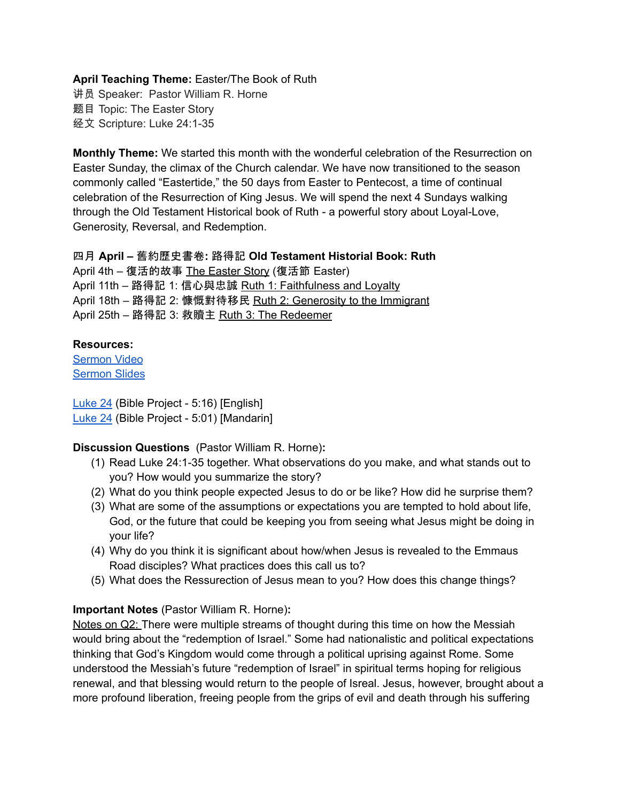## **April Teaching Theme:** Easter/The Book of Ruth

讲员 Speaker: Pastor William R. Horne 题目 Topic: The Easter Story 经文 Scripture: Luke 24:1-35

**Monthly Theme:** We started this month with the wonderful celebration of the Resurrection on Easter Sunday, the climax of the Church calendar. We have now transitioned to the season commonly called "Eastertide," the 50 days from Easter to Pentecost, a time of continual celebration of the Resurrection of King Jesus. We will spend the next 4 Sundays walking through the Old Testament Historical book of Ruth - a powerful story about Loyal-Love, Generosity, Reversal, and Redemption.

#### 四月 **April –** 舊約歷史書卷**:** 路得記 **Old Testament Historial Book: Ruth**

April 4th – 復活的故事 The Easter Story (復活節 Easter) April 11th – 路得記 1: 信心與忠誠 Ruth 1: Faithfulness and Loyalty April 18th - 路得記 2: 慷慨對待移民 Ruth 2: Generosity to the Immigrant April 25th – 路得記 3: 救贖主 Ruth 3: The Redeemer

#### **Resources:**

[Sermon](https://www.youtube.com/watch?v=3Xm6WVwS4J0&t=90s) Video [Sermon](http://www.lcccky.org/CellGroup/Meetings/04_04_21%20The%20Easter%20Story.pdf) Slides

[Luke](https://www.youtube.com/watch?v=Vb24Lk1Oh5M&t=155s) 24 (Bible Project - 5:16) [English] [Luke](https://www.youtube.com/watch?v=PkokZHW-Sgs) 24 (Bible Project - 5:01) [Mandarin]

### **Discussion Questions** (Pastor William R. Horne)**:**

- (1) Read Luke 24:1-35 together. What observations do you make, and what stands out to you? How would you summarize the story?
- (2) What do you think people expected Jesus to do or be like? How did he surprise them?
- (3) What are some of the assumptions or expectations you are tempted to hold about life, God, or the future that could be keeping you from seeing what Jesus might be doing in your life?
- (4) Why do you think it is significant about how/when Jesus is revealed to the Emmaus Road disciples? What practices does this call us to?
- (5) What does the Ressurection of Jesus mean to you? How does this change things?

# **Important Notes** (Pastor William R. Horne)**:**

Notes on Q2: There were multiple streams of thought during this time on how the Messiah would bring about the "redemption of Israel." Some had nationalistic and political expectations thinking that God's Kingdom would come through a political uprising against Rome. Some understood the Messiah's future "redemption of Israel" in spiritual terms hoping for religious renewal, and that blessing would return to the people of Isreal. Jesus, however, brought about a more profound liberation, freeing people from the grips of evil and death through his suffering